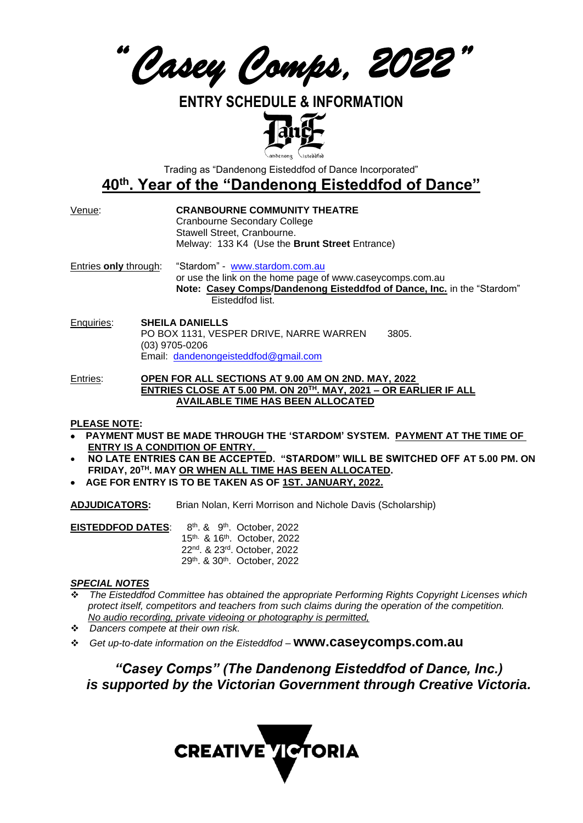*"Casey Comps, 2022"* 

# **ENTRY SCHEDULE & INFORMATION**



Trading as "Dandenong Eisteddfod of Dance Incorporated"

# **40th . Year of the "Dandenong Eisteddfod of Dance"**

#### Venue: **CRANBOURNE COMMUNITY THEATRE**

Cranbourne Secondary College Stawell Street, Cranbourne. Melway: 133 K4 (Use the **Brunt Street** Entrance)

Entries **only** through: "Stardom" - [www.stardom.com.au](http://www.stardom.com.au/) or use the link on the home page of www.caseycomps.com.au **Note: Casey Comps/Dandenong Eisteddfod of Dance, Inc.** in the "Stardom" Eisteddfod list.

Enquiries: **SHEILA DANIELLS** PO BOX 1131, VESPER DRIVE, NARRE WARREN 3805. (03) 9705-0206 Email: [dandenongeisteddfod@gmail.com](mailto:dandenongeisteddfod@gmail.com)

Entries: **OPEN FOR ALL SECTIONS AT 9.00 AM ON 2ND. MAY, 2022 ENTRIES CLOSE AT 5.00 PM. ON 20TH. MAY, 2021 – OR EARLIER IF ALL AVAILABLE TIME HAS BEEN ALLOCATED**

#### **PLEASE NOTE:**

- • **PAYMENT MUST BE MADE THROUGH THE 'STARDOM' SYSTEM. PAYMENT AT THE TIME OF ENTRY IS A CONDITION OF ENTRY.**
- **NO LATE ENTRIES CAN BE ACCEPTED. "STARDOM" WILL BE SWITCHED OFF AT 5.00 PM. ON FRIDAY, 20TH. MAY OR WHEN ALL TIME HAS BEEN ALLOCATED.**
- • **AGE FOR ENTRY IS TO BE TAKEN AS OF 1ST. JANUARY, 2022.**

**ADJUDICATORS:** Brian Nolan, Kerri Morrison and Nichole Davis (Scholarship)

**EISTEDDFOD DATES:** th & 9th. October, 2022 15<sup>th</sup>. & 16<sup>th</sup>. October, 2022 22<sup>nd</sup>. & 23<sup>rd</sup>. October, 2022 29<sup>th</sup>. & 30<sup>th</sup>. October, 2022

### *SPECIAL NOTES*

- ❖ *The Eisteddfod Committee has obtained the appropriate Performing Rights Copyright Licenses which protect itself, competitors and teachers from such claims during the operation of the competition. No audio recording, private videoing or photography is permitted,*
- ❖ *Dancers compete at their own risk.*
- ❖ *Get up-to-date information on the Eisteddfod –* **www.caseycomps.com.au**

*"Casey Comps" (The Dandenong Eisteddfod of Dance, Inc.) is supported by the Victorian Government through Creative Victoria.* 

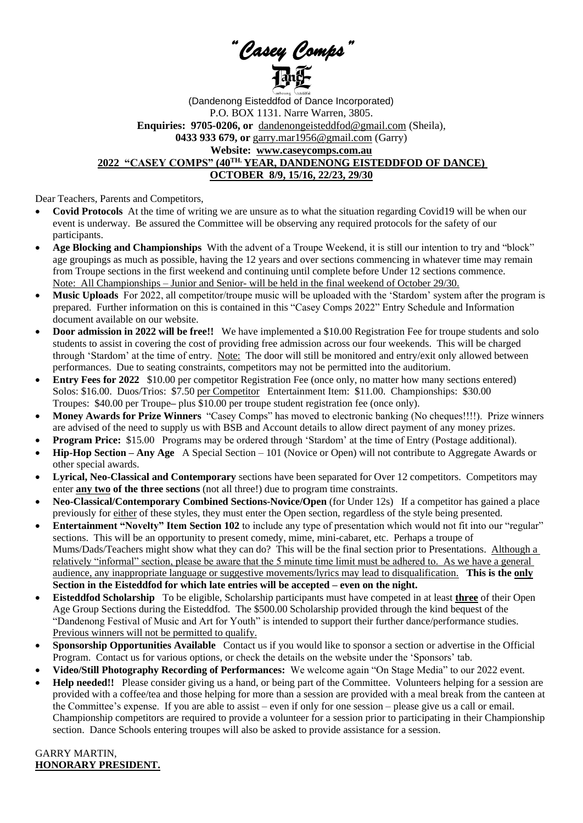*"Casey Comps"* 

(Dandenong Eisteddfod of Dance Incorporated) P.O. BOX 1131. Narre Warren, 3805. **Enquiries: 9705-0206, or** [dandenongeisteddfod@gmail.com](mailto:dandenongeisteddfod@gmail.com) (Sheila), **0433 933 679, or** [garry.mar1956@gmail.com](mailto:garry.mar1956@gmail.com) (Garry) **Website: www.caseycomps.com.au 2022 "CASEY COMPS" (40TH. YEAR, DANDENONG EISTEDDFOD OF DANCE) OCTOBER 8/9, 15/16, 22/23, 29/30**

Dear Teachers, Parents and Competitors,

- **Covid Protocols** At the time of writing we are unsure as to what the situation regarding Covid19 will be when our event is underway. Be assured the Committee will be observing any required protocols for the safety of our participants.
- **Age Blocking and Championships** With the advent of a Troupe Weekend, it is still our intention to try and "block" age groupings as much as possible, having the 12 years and over sections commencing in whatever time may remain from Troupe sections in the first weekend and continuing until complete before Under 12 sections commence. Note: All Championships – Junior and Senior- will be held in the final weekend of October 29/30.
- **Music Uploads** For 2022, all competitor/troupe music will be uploaded with the 'Stardom' system after the program is prepared. Further information on this is contained in this "Casey Comps 2022" Entry Schedule and Information document available on our website.
- **Door admission in 2022 will be free!!** We have implemented a \$10.00 Registration Fee for troupe students and solo students to assist in covering the cost of providing free admission across our four weekends. This will be charged through 'Stardom' at the time of entry. Note: The door will still be monitored and entry/exit only allowed between performances. Due to seating constraints, competitors may not be permitted into the auditorium.
- **Entry Fees for 2022** \$10.00 per competitor Registration Fee (once only, no matter how many sections entered) Solos: \$16.00. Duos/Trios: \$7.50 per Competitor Entertainment Item: \$11.00. Championships: \$30.00 Troupes: \$40.00 per Troupe**–** plus \$10.00 per troupe student registration fee (once only).
- **Money Awards for Prize Winners** "Casey Comps" has moved to electronic banking (No cheques!!!!). Prize winners are advised of the need to supply us with BSB and Account details to allow direct payment of any money prizes.
- **Program Price:** \$15.00 Programs may be ordered through 'Stardom' at the time of Entry (Postage additional).
- **Hip-Hop Section – Any Age** A Special Section 101 (Novice or Open) will not contribute to Aggregate Awards or other special awards.
- **Lyrical, Neo-Classical and Contemporary** sections have been separated for Over 12 competitors. Competitors may enter **any two of the three sections** (not all three!) due to program time constraints.
- **Neo-Classical/Contemporary Combined Sections-Novice/Open** (for Under 12s) If a competitor has gained a place previously for either of these styles, they must enter the Open section, regardless of the style being presented.
- **Entertainment "Novelty" Item Section 102** to include any type of presentation which would not fit into our "regular" sections. This will be an opportunity to present comedy, mime, mini-cabaret, etc. Perhaps a troupe of Mums/Dads/Teachers might show what they can do? This will be the final section prior to Presentations. Although a relatively "informal" section, please be aware that the 5 minute time limit must be adhered to. As we have a general audience, any inappropriate language or suggestive movements/lyrics may lead to disqualification. **This is the only Section in the Eisteddfod for which late entries will be accepted – even on the night.**
- **Eisteddfod Scholarship** To be eligible, Scholarship participants must have competed in at least **three** of their Open Age Group Sections during the Eisteddfod. The \$500.00 Scholarship provided through the kind bequest of the "Dandenong Festival of Music and Art for Youth" is intended to support their further dance/performance studies. Previous winners will not be permitted to qualify.
- **Sponsorship Opportunities Available** Contact us if you would like to sponsor a section or advertise in the Official Program. Contact us for various options, or check the details on the website under the 'Sponsors' tab.
- **Video/Still Photography Recording of Performances:** We welcome again "On Stage Media" to our 2022 event.
- **Help needed!!** Please consider giving us a hand, or being part of the Committee. Volunteers helping for a session are provided with a coffee/tea and those helping for more than a session are provided with a meal break from the canteen at the Committee's expense. If you are able to assist – even if only for one session – please give us a call or email. Championship competitors are required to provide a volunteer for a session prior to participating in their Championship section. Dance Schools entering troupes will also be asked to provide assistance for a session.

GARRY MARTIN, **HONORARY PRESIDENT.**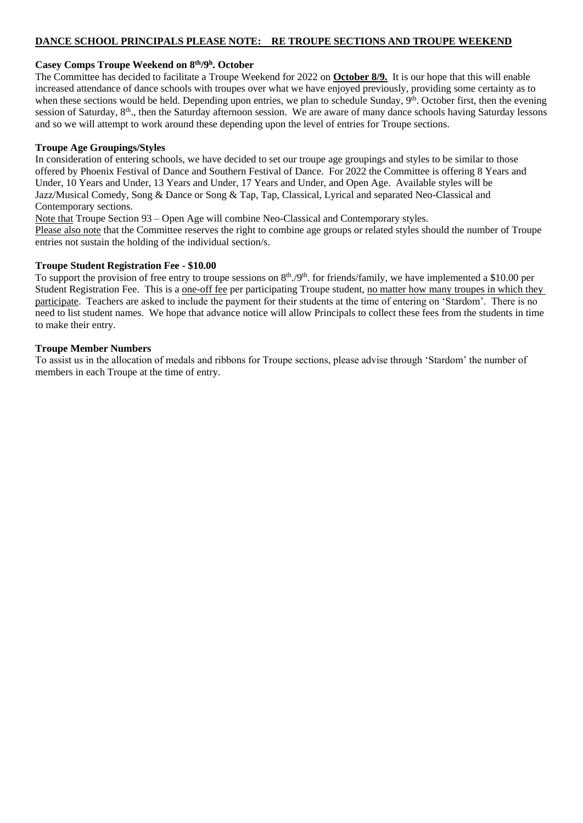#### **DANCE SCHOOL PRINCIPALS PLEASE NOTE: RE TROUPE SECTIONS AND TROUPE WEEKEND**

#### **Casey Comps Troupe Weekend on 8 th/9 h . October**

The Committee has decided to facilitate a Troupe Weekend for 2022 on **October 8/9.** It is our hope that this will enable increased attendance of dance schools with troupes over what we have enjoyed previously, providing some certainty as to when these sections would be held. Depending upon entries, we plan to schedule Sunday, 9<sup>th</sup>. October first, then the evening session of Saturday, 8<sup>th</sup>., then the Saturday afternoon session. We are aware of many dance schools having Saturday lessons and so we will attempt to work around these depending upon the level of entries for Troupe sections.

#### **Troupe Age Groupings/Styles**

In consideration of entering schools, we have decided to set our troupe age groupings and styles to be similar to those offered by Phoenix Festival of Dance and Southern Festival of Dance. For 2022 the Committee is offering 8 Years and Under, 10 Years and Under, 13 Years and Under, 17 Years and Under, and Open Age. Available styles will be Jazz/Musical Comedy, Song & Dance or Song & Tap, Tap, Classical, Lyrical and separated Neo-Classical and Contemporary sections.

Note that Troupe Section 93 – Open Age will combine Neo-Classical and Contemporary styles.

Please also note that the Committee reserves the right to combine age groups or related styles should the number of Troupe entries not sustain the holding of the individual section/s.

#### **Troupe Student Registration Fee - \$10.00**

To support the provision of free entry to troupe sessions on 8<sup>th</sup>./9<sup>th</sup>. for friends/family, we have implemented a \$10.00 per Student Registration Fee. This is a one-off fee per participating Troupe student, no matter how many troupes in which they participate. Teachers are asked to include the payment for their students at the time of entering on 'Stardom'. There is no need to list student names. We hope that advance notice will allow Principals to collect these fees from the students in time to make their entry.

#### **Troupe Member Numbers**

To assist us in the allocation of medals and ribbons for Troupe sections, please advise through 'Stardom' the number of members in each Troupe at the time of entry.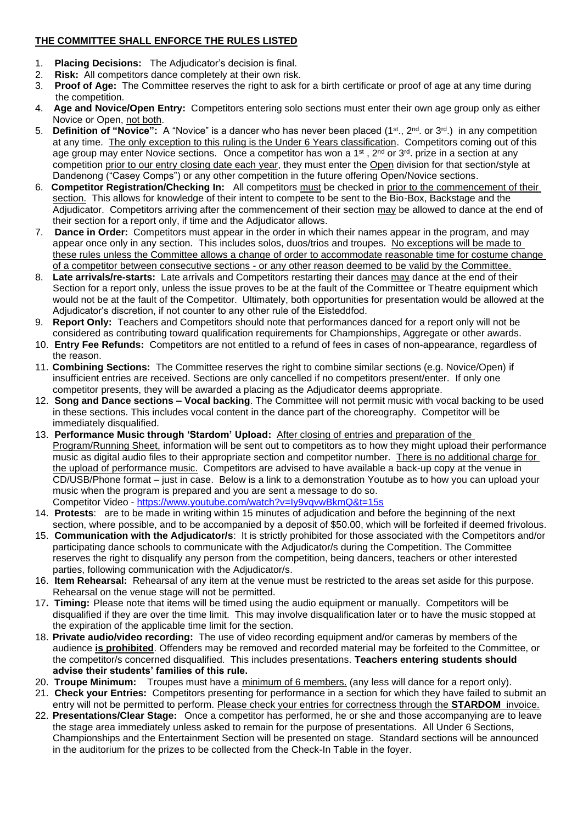## **THE COMMITTEE SHALL ENFORCE THE RULES LISTED**

- 1. **Placing Decisions:** The Adjudicator's decision is final.
- 2. **Risk:** All competitors dance completely at their own risk.
- 3. **Proof of Age:** The Committee reserves the right to ask for a birth certificate or proof of age at any time during the competition.
- 4. **Age and Novice/Open Entry:** Competitors entering solo sections must enter their own age group only as either Novice or Open, not both.
- 5. **Definition of "Novice":** A "Novice" is a dancer who has never been placed (1st., 2nd. or 3rd.) in any competition at any time. The only exception to this ruling is the Under 6 Years classification. Competitors coming out of this age group may enter Novice sections. Once a competitor has won a 1<sup>st</sup>, 2<sup>nd</sup> or 3<sup>rd</sup>. prize in a section at any competition prior to our entry closing date each year, they must enter the Open division for that section/style at Dandenong ("Casey Comps") or any other competition in the future offering Open/Novice sections.
- 6. **Competitor Registration/Checking In:** All competitors must be checked in prior to the commencement of their section. This allows for knowledge of their intent to compete to be sent to the Bio-Box, Backstage and the Adjudicator. Competitors arriving after the commencement of their section may be allowed to dance at the end of their section for a report only, if time and the Adjudicator allows.
- 7. **Dance in Order:** Competitors must appear in the order in which their names appear in the program, and may appear once only in any section. This includes solos, duos/trios and troupes. No exceptions will be made to these rules unless the Committee allows a change of order to accommodate reasonable time for costume change of a competitor between consecutive sections - or any other reason deemed to be valid by the Committee.
- 8. **Late arrivals/re-starts:** Late arrivals and Competitors restarting their dances may dance at the end of their Section for a report only, unless the issue proves to be at the fault of the Committee or Theatre equipment which would not be at the fault of the Competitor. Ultimately, both opportunities for presentation would be allowed at the Adjudicator's discretion, if not counter to any other rule of the Eisteddfod.
- 9. **Report Only:** Teachers and Competitors should note that performances danced for a report only will not be considered as contributing toward qualification requirements for Championships, Aggregate or other awards.
- 10. **Entry Fee Refunds:** Competitors are not entitled to a refund of fees in cases of non-appearance, regardless of the reason.
- 11. **Combining Sections:** The Committee reserves the right to combine similar sections (e.g. Novice/Open) if insufficient entries are received. Sections are only cancelled if no competitors present/enter. If only one competitor presents, they will be awarded a placing as the Adjudicator deems appropriate.
- 12. **Song and Dance sections – Vocal backing**. The Committee will not permit music with vocal backing to be used in these sections. This includes vocal content in the dance part of the choreography. Competitor will be immediately disqualified.
- 13. **Performance Music through 'Stardom' Upload:** After closing of entries and preparation of the Program/Running Sheet, information will be sent out to competitors as to how they might upload their performance music as digital audio files to their appropriate section and competitor number. There is no additional charge for the upload of performance music. Competitors are advised to have available a back-up copy at the venue in CD/USB/Phone format – just in case. Below is a link to a demonstration Youtube as to how you can upload your music when the program is prepared and you are sent a message to do so. Competitor Video - <https://www.youtube.com/watch?v=Iy9vqvwBkmQ&t=15s>
- 14. **Protests**: are to be made in writing within 15 minutes of adjudication and before the beginning of the next section, where possible, and to be accompanied by a deposit of \$50.00, which will be forfeited if deemed frivolous.
- 15. **Communication with the Adjudicator/s**:It is strictly prohibited for those associated with the Competitors and/or participating dance schools to communicate with the Adjudicator/s during the Competition. The Committee reserves the right to disqualify any person from the competition, being dancers, teachers or other interested parties, following communication with the Adjudicator/s.
- 16. **Item Rehearsal:** Rehearsal of any item at the venue must be restricted to the areas set aside for this purpose. Rehearsal on the venue stage will not be permitted.
- 17**. Timing:** Please note that items will be timed using the audio equipment or manually. Competitors will be disqualified if they are over the time limit. This may involve disqualification later or to have the music stopped at the expiration of the applicable time limit for the section.
- 18. **Private audio/video recording:** The use of video recording equipment and/or cameras by members of the audience **is prohibited**. Offenders may be removed and recorded material may be forfeited to the Committee, or the competitor/s concerned disqualified. This includes presentations. **Teachers entering students should advise their students' families of this rule.**
- 20. **Troupe Minimum:** Troupes must have a minimum of 6 members. (any less will dance for a report only).
- 21. **Check your Entries:** Competitors presenting for performance in a section for which they have failed to submit an entry will not be permitted to perform. Please check your entries for correctness through the **STARDOM** invoice.
- 22. **Presentations/Clear Stage:** Once a competitor has performed, he or she and those accompanying are to leave the stage area immediately unless asked to remain for the purpose of presentations. All Under 6 Sections, Championships and the Entertainment Section will be presented on stage. Standard sections will be announced in the auditorium for the prizes to be collected from the Check-In Table in the foyer.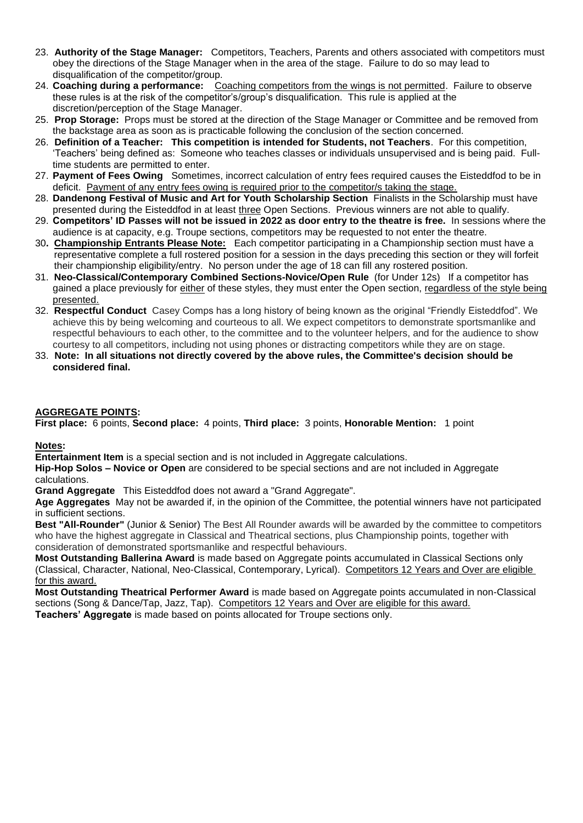- 23. **Authority of the Stage Manager:** Competitors, Teachers, Parents and others associated with competitors must obey the directions of the Stage Manager when in the area of the stage. Failure to do so may lead to disqualification of the competitor/group.
- 24. **Coaching during a performance:** Coaching competitors from the wings is not permitted. Failure to observe these rules is at the risk of the competitor's/group's disqualification. This rule is applied at the discretion/perception of the Stage Manager.
- 25. **Prop Storage:** Props must be stored at the direction of the Stage Manager or Committee and be removed from the backstage area as soon as is practicable following the conclusion of the section concerned.
- 26. **Definition of a Teacher: This competition is intended for Students, not Teachers**. For this competition, 'Teachers' being defined as: Someone who teaches classes or individuals unsupervised and is being paid. Fulltime students are permitted to enter.
- 27. **Payment of Fees Owing** Sometimes, incorrect calculation of entry fees required causes the Eisteddfod to be in deficit. Payment of any entry fees owing is required prior to the competitor/s taking the stage.
- 28. **Dandenong Festival of Music and Art for Youth Scholarship Section** Finalists in the Scholarship must have presented during the Eisteddfod in at least three Open Sections. Previous winners are not able to qualify.
- 29. **Competitors' ID Passes will not be issued in 2022 as door entry to the theatre is free.** In sessions where the audience is at capacity, e.g. Troupe sections, competitors may be requested to not enter the theatre.
- 30**. Championship Entrants Please Note:** Each competitor participating in a Championship section must have a representative complete a full rostered position for a session in the days preceding this section or they will forfeit their championship eligibility/entry. No person under the age of 18 can fill any rostered position.
- 31. **Neo-Classical/Contemporary Combined Sections-Novice/Open Rule** (for Under 12s) If a competitor has gained a place previously for either of these styles, they must enter the Open section, regardless of the style being presented.
- 32. **Respectful Conduct** Casey Comps has a long history of being known as the original "Friendly Eisteddfod". We achieve this by being welcoming and courteous to all. We expect competitors to demonstrate sportsmanlike and respectful behaviours to each other, to the committee and to the volunteer helpers, and for the audience to show courtesy to all competitors, including not using phones or distracting competitors while they are on stage.
- 33. **Note: In all situations not directly covered by the above rules, the Committee's decision should be considered final.**

### **AGGREGATE POINTS:**

**First place:** 6 points, **Second place:** 4 points, **Third place:** 3 points, **Honorable Mention:** 1 point

#### **Notes:**

**Entertainment Item** is a special section and is not included in Aggregate calculations.

**Hip-Hop Solos – Novice or Open** are considered to be special sections and are not included in Aggregate calculations.

**Grand Aggregate** This Eisteddfod does not award a "Grand Aggregate".

**Age Aggregates** May not be awarded if, in the opinion of the Committee, the potential winners have not participated in sufficient sections.

**Best "All-Rounder"** (Junior & Senior) The Best All Rounder awards will be awarded by the committee to competitors who have the highest aggregate in Classical and Theatrical sections, plus Championship points, together with consideration of demonstrated sportsmanlike and respectful behaviours.

**Most Outstanding Ballerina Award** is made based on Aggregate points accumulated in Classical Sections only (Classical, Character, National, Neo-Classical, Contemporary, Lyrical). Competitors 12 Years and Over are eligible for this award.

**Most Outstanding Theatrical Performer Award** is made based on Aggregate points accumulated in non-Classical sections (Song & Dance/Tap, Jazz, Tap). Competitors 12 Years and Over are eligible for this award. **Teachers' Aggregate** is made based on points allocated for Troupe sections only.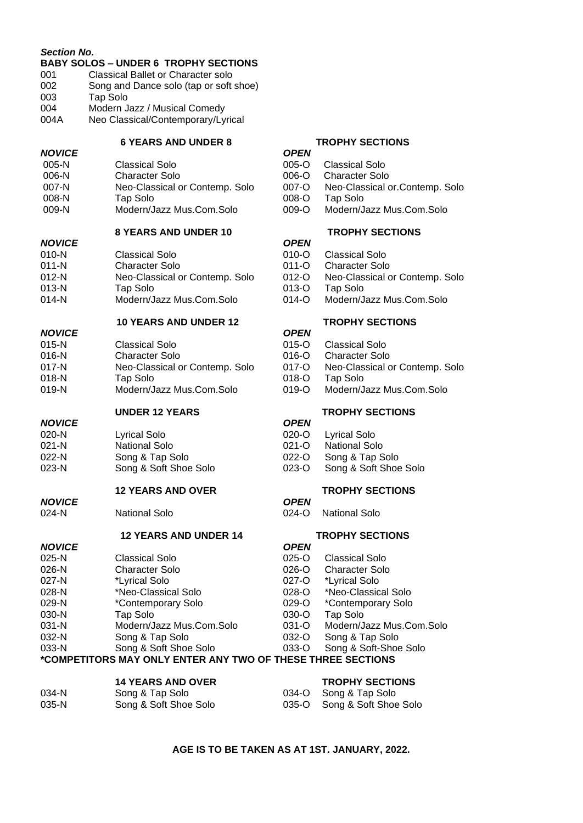| <b>Section No.</b>       | <b>BABY SOLOS - UNDER 6 TROPHY SECTIONS</b>                 |                      |                                                |
|--------------------------|-------------------------------------------------------------|----------------------|------------------------------------------------|
| 001                      | <b>Classical Ballet or Character solo</b>                   |                      |                                                |
| 002                      | Song and Dance solo (tap or soft shoe)                      |                      |                                                |
| 003                      | Tap Solo                                                    |                      |                                                |
| 004                      | Modern Jazz / Musical Comedy                                |                      |                                                |
| 004A                     | Neo Classical/Contemporary/Lyrical                          |                      |                                                |
|                          | <b>6 YEARS AND UNDER 8</b>                                  |                      | <b>TROPHY SECTIONS</b>                         |
| <b>NOVICE</b>            |                                                             | <b>OPEN</b>          |                                                |
| $005-N$                  | <b>Classical Solo</b>                                       | 005-O                | <b>Classical Solo</b>                          |
| 006-N                    | <b>Character Solo</b>                                       | 006-O                | <b>Character Solo</b>                          |
| 007-N                    | Neo-Classical or Contemp. Solo                              | 007-O                | Neo-Classical or Contemp. Solo                 |
| 008-N                    | Tap Solo<br>Modern/Jazz Mus.Com.Solo                        | 008-O<br>009-O       | Tap Solo<br>Modern/Jazz Mus.Com.Solo           |
| 009-N                    |                                                             |                      |                                                |
|                          | <b>8 YEARS AND UNDER 10</b>                                 |                      | <b>TROPHY SECTIONS</b>                         |
| <b>NOVICE</b>            |                                                             | <b>OPEN</b>          |                                                |
| $010-N$<br>$011 - N$     | <b>Classical Solo</b><br><b>Character Solo</b>              | 010-O                | <b>Classical Solo</b><br><b>Character Solo</b> |
| $012-N$                  |                                                             | 011-O<br>012-O       |                                                |
| $013-N$                  | Neo-Classical or Contemp. Solo<br>Tap Solo                  | 013-O                | Neo-Classical or Contemp. Solo<br>Tap Solo     |
| $014-N$                  | Modern/Jazz Mus.Com.Solo                                    | 014-O                | Modern/Jazz Mus.Com.Solo                       |
|                          | <b>10 YEARS AND UNDER 12</b>                                |                      | <b>TROPHY SECTIONS</b>                         |
| <b>NOVICE</b>            |                                                             | <b>OPEN</b>          |                                                |
| $015-N$                  | <b>Classical Solo</b>                                       | 015-O                | <b>Classical Solo</b>                          |
| 016-N                    | <b>Character Solo</b>                                       | 016-O                | <b>Character Solo</b>                          |
| $017 - N$                | Neo-Classical or Contemp. Solo                              | 017-O                | Neo-Classical or Contemp. Solo                 |
| $018-N$                  | <b>Tap Solo</b>                                             | 018-O                | Tap Solo                                       |
| $019-N$                  | Modern/Jazz Mus.Com.Solo                                    | 019-O                | Modern/Jazz Mus.Com.Solo                       |
|                          | <b>UNDER 12 YEARS</b>                                       |                      | <b>TROPHY SECTIONS</b>                         |
| <b>NOVICE</b>            |                                                             | <b>OPEN</b>          |                                                |
| 020-N                    | <b>Lyrical Solo</b>                                         | 020-O                | <b>Lyrical Solo</b>                            |
| $021 - N$                | <b>National Solo</b>                                        | $021 - 0$            | <b>National Solo</b>                           |
| 022-N                    | Song & Tap Solo                                             | 022-O                | Song & Tap Solo                                |
| 023-N                    | Song & Soft Shoe Solo                                       | 023-O                | Song & Soft Shoe Solo                          |
|                          | <b>12 YEARS AND OVER</b>                                    |                      | <b>TROPHY SECTIONS</b>                         |
| <b>NOVICE</b><br>$024-N$ | <b>National Solo</b>                                        | <b>OPEN</b><br>024-O | National Solo                                  |
|                          |                                                             |                      |                                                |
|                          | <b>12 YEARS AND UNDER 14</b>                                | <b>OPEN</b>          | <b>TROPHY SECTIONS</b>                         |
| <b>NOVICE</b><br>025-N   | <b>Classical Solo</b>                                       | $025 - 0$            | <b>Classical Solo</b>                          |
| 026-N                    | <b>Character Solo</b>                                       | 026-O                | <b>Character Solo</b>                          |
| 027-N                    | *Lyrical Solo                                               | 027-O                | *Lyrical Solo                                  |
| 028-N                    | *Neo-Classical Solo                                         | 028-O                | *Neo-Classical Solo                            |
| 029-N                    | *Contemporary Solo                                          | 029-O                | *Contemporary Solo                             |
| 030-N                    | <b>Tap Solo</b>                                             | 030-O                | Tap Solo                                       |
| 031-N                    | Modern/Jazz Mus.Com.Solo                                    | 031-O                | Modern/Jazz Mus.Com.Solo                       |
| 032-N                    | Song & Tap Solo                                             | 032-O                | Song & Tap Solo                                |
| 033-N                    | Song & Soft Shoe Solo                                       | 033-O                | Song & Soft-Shoe Solo                          |
|                          | *COMPETITORS MAY ONLY ENTER ANY TWO OF THESE THREE SECTIONS |                      |                                                |
|                          |                                                             |                      |                                                |
|                          | <b>14 YEARS AND OVER</b>                                    |                      | <b>TROPHY SECTIONS</b>                         |
| 034-N                    | Song & Tap Solo                                             | 034-O                | Song & Tap Solo                                |

**AGE IS TO BE TAKEN AS AT 1ST. JANUARY, 2022.**

035-N Song & Soft Shoe Solo 6035-O Song & Soft Shoe Solo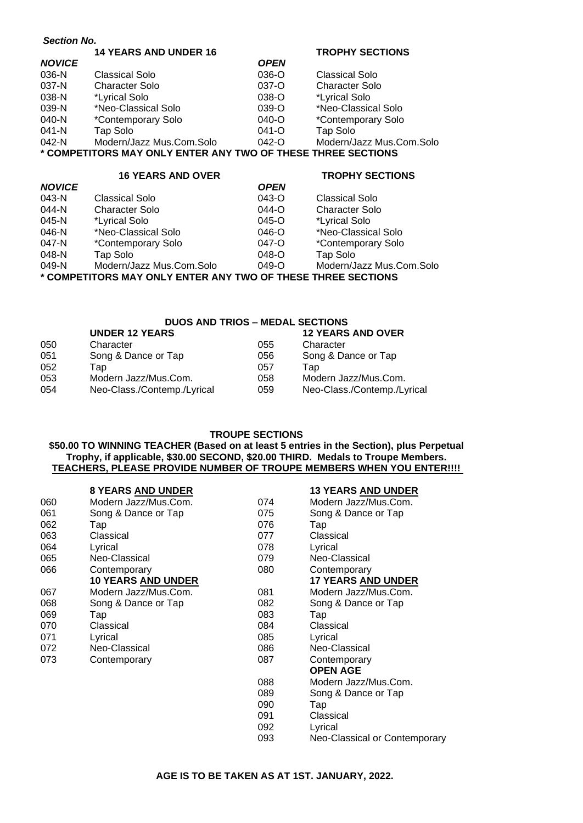*Section No.*  **14 YEARS AND UNDER 16 TROPHY SECTIONS**

| <b>NOVICE</b>                                                |                          | <b>OPEN</b> |                          |
|--------------------------------------------------------------|--------------------------|-------------|--------------------------|
| 036-N                                                        | Classical Solo           | 036-O       | <b>Classical Solo</b>    |
| 037-N                                                        | <b>Character Solo</b>    | 037-O       | <b>Character Solo</b>    |
| 038-N                                                        | *Lyrical Solo            | 038-O       | *Lyrical Solo            |
| 039-N                                                        | *Neo-Classical Solo      | 039-O       | *Neo-Classical Solo      |
| 040-N                                                        | *Contemporary Solo       | $040 - O$   | *Contemporary Solo       |
| 041-N                                                        | Tap Solo                 | $041 - O$   | Tap Solo                 |
| 042-N                                                        | Modern/Jazz Mus.Com.Solo | $042 - 0$   | Modern/Jazz Mus.Com.Solo |
| * COMPETITORS MAY ONLY ENTER ANY TWO OF THESE THREE SECTIONS |                          |             |                          |
|                                                              |                          |             |                          |

# **16 YEARS AND OVER TROPHY SECTIONS**

| Classical Solo           | $043 - 0$ | <b>Classical Solo</b>                                                       |
|--------------------------|-----------|-----------------------------------------------------------------------------|
| <b>Character Solo</b>    | 044-O     | <b>Character Solo</b>                                                       |
| *Lyrical Solo            | 045-O     | *Lyrical Solo                                                               |
| *Neo-Classical Solo      | 046-O     | *Neo-Classical Solo                                                         |
| *Contemporary Solo       | 047-O     | *Contemporary Solo                                                          |
| Tap Solo                 | $048 - O$ | Tap Solo                                                                    |
| Modern/Jazz Mus.Com.Solo | $049 - O$ | Modern/Jazz Mus.Com.Solo                                                    |
|                          |           |                                                                             |
|                          |           | <b>OPEN</b><br>* COMPETITORS MAY ONLY ENTER ANY TWO OF THESE THREE SECTIONS |

#### **DUOS AND TRIOS – MEDAL SECTIONS**

|     | <b>UNDER 12 YEARS</b>       |     | <b>12 YEARS AND OVER</b>    |
|-----|-----------------------------|-----|-----------------------------|
| 050 | Character                   | 055 | Character                   |
| 051 | Song & Dance or Tap         | 056 | Song & Dance or Tap         |
| 052 | Tap                         | 057 | Tap                         |
| 053 | Modern Jazz/Mus.Com.        | 058 | Modern Jazz/Mus.Com.        |
| 054 | Neo-Class./Contemp./Lyrical | 059 | Neo-Class./Contemp./Lyrical |

#### **TROUPE SECTIONS**

#### **\$50.00 TO WINNING TEACHER (Based on at least 5 entries in the Section), plus Perpetual Trophy, if applicable, \$30.00 SECOND, \$20.00 THIRD. Medals to Troupe Members. TEACHERS, PLEASE PROVIDE NUMBER OF TROUPE MEMBERS WHEN YOU ENTER!!!!**

#### **8 YEARS AND UNDER 13 YEARS AND UNDER**

| 060 | Modern Jazz/Mus.Com.      | 074 | Modern Jazz/Mus.Com.          |
|-----|---------------------------|-----|-------------------------------|
| 061 | Song & Dance or Tap       | 075 | Song & Dance or Tap           |
| 062 | Tap                       | 076 | Tap                           |
| 063 | Classical                 | 077 | Classical                     |
| 064 | Lyrical                   | 078 | Lyrical                       |
| 065 | Neo-Classical             | 079 | Neo-Classical                 |
| 066 | Contemporary              | 080 | Contemporary                  |
|     | <b>10 YEARS AND UNDER</b> |     | <b>17 YEARS AND UNDER</b>     |
| 067 | Modern Jazz/Mus.Com.      | 081 | Modern Jazz/Mus.Com.          |
| 068 | Song & Dance or Tap       | 082 | Song & Dance or Tap           |
| 069 | Tap                       | 083 | Tap                           |
| 070 | Classical                 | 084 | Classical                     |
| 071 | Lyrical                   | 085 | Lyrical                       |
| 072 | Neo-Classical             | 086 | Neo-Classical                 |
| 073 | Contemporary              | 087 | Contemporary                  |
|     |                           |     | <b>OPEN AGE</b>               |
|     |                           | 088 | Modern Jazz/Mus.Com.          |
|     |                           | 089 | Song & Dance or Tap           |
|     |                           | 090 | Tap                           |
|     |                           | 091 | Classical                     |
|     |                           | 092 | Lyrical                       |
|     |                           | 093 | Neo-Classical or Contemporary |
|     |                           |     |                               |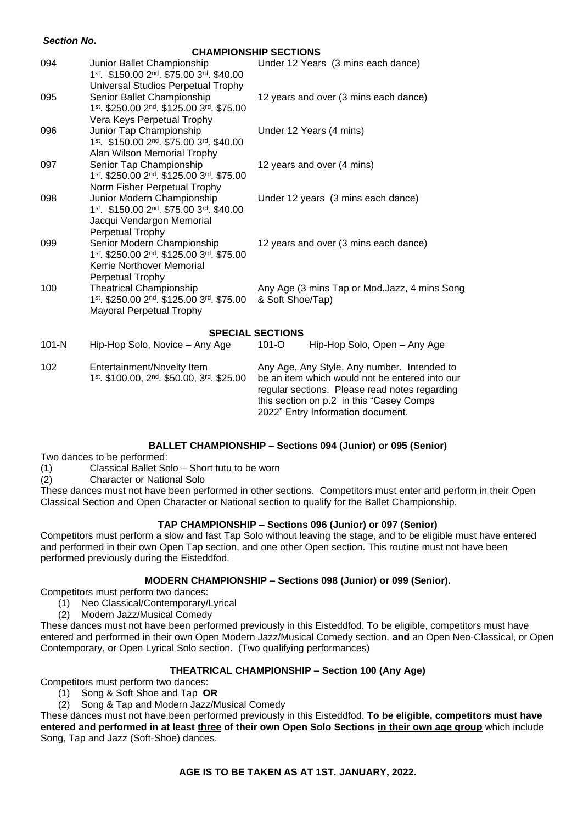#### *Section No.*

**CHAMPIONSHIP SECTIONS** 

|           |                                                                       | UNULLUSTE JEUTIUNG                             |  |
|-----------|-----------------------------------------------------------------------|------------------------------------------------|--|
| 094       | Junior Ballet Championship<br>1st. \$150.00 2nd. \$75.00 3rd. \$40.00 | Under 12 Years (3 mins each dance)             |  |
|           | Universal Studios Perpetual Trophy                                    |                                                |  |
| 095       | Senior Ballet Championship                                            | 12 years and over (3 mins each dance)          |  |
|           | 1st. \$250.00 2nd. \$125.00 3rd. \$75.00                              |                                                |  |
|           | Vera Keys Perpetual Trophy                                            |                                                |  |
| 096       | Junior Tap Championship                                               | Under 12 Years (4 mins)                        |  |
|           | 1st. \$150.00 2nd. \$75.00 3rd. \$40.00                               |                                                |  |
|           | Alan Wilson Memorial Trophy                                           |                                                |  |
| 097       | Senior Tap Championship                                               | 12 years and over (4 mins)                     |  |
|           | 1st. \$250.00 2nd. \$125.00 3rd. \$75.00                              |                                                |  |
|           | Norm Fisher Perpetual Trophy                                          |                                                |  |
| 098       | Junior Modern Championship                                            | Under 12 years (3 mins each dance)             |  |
|           | 1st. \$150.00 2nd. \$75.00 3rd. \$40.00                               |                                                |  |
|           | Jacqui Vendargon Memorial<br>Perpetual Trophy                         |                                                |  |
| 099       | Senior Modern Championship                                            | 12 years and over (3 mins each dance)          |  |
|           | 1st. \$250.00 2nd. \$125.00 3rd. \$75.00                              |                                                |  |
|           | Kerrie Northover Memorial                                             |                                                |  |
|           | Perpetual Trophy                                                      |                                                |  |
| 100       | <b>Theatrical Championship</b>                                        | Any Age (3 mins Tap or Mod.Jazz, 4 mins Song   |  |
|           | 1st. \$250.00 2nd. \$125.00 3rd. \$75.00                              | & Soft Shoe/Tap)                               |  |
|           | Mayoral Perpetual Trophy                                              |                                                |  |
|           |                                                                       |                                                |  |
|           |                                                                       | <b>SPECIAL SECTIONS</b>                        |  |
| $101 - N$ | Hip-Hop Solo, Novice - Any Age                                        | $101 - O$<br>Hip-Hop Solo, Open - Any Age      |  |
| 102       | Entertainment/Novelty Item                                            | Any Age, Any Style, Any number. Intended to    |  |
|           | 1st. \$100.00, 2 <sup>nd</sup> . \$50.00, 3 <sup>rd</sup> . \$25.00   | be an item which would not be entered into our |  |
|           |                                                                       | regular sections. Please read notes regarding  |  |
|           |                                                                       | this section on p.2 in this "Casey Comps       |  |
|           |                                                                       | 2022" Entry Information document.              |  |

#### **BALLET CHAMPIONSHIP – Sections 094 (Junior) or 095 (Senior)**

Two dances to be performed:

(1) Classical Ballet Solo – Short tutu to be worn

(2) Character or National Solo

These dances must not have been performed in other sections. Competitors must enter and perform in their Open Classical Section and Open Character or National section to qualify for the Ballet Championship.

#### **TAP CHAMPIONSHIP – Sections 096 (Junior) or 097 (Senior)**

Competitors must perform a slow and fast Tap Solo without leaving the stage, and to be eligible must have entered and performed in their own Open Tap section, and one other Open section. This routine must not have been performed previously during the Eisteddfod.

#### **MODERN CHAMPIONSHIP – Sections 098 (Junior) or 099 (Senior).**

Competitors must perform two dances:

- (1) Neo Classical/Contemporary/Lyrical
- (2) Modern Jazz/Musical Comedy

These dances must not have been performed previously in this Eisteddfod. To be eligible, competitors must have entered and performed in their own Open Modern Jazz/Musical Comedy section, **and** an Open Neo-Classical, or Open Contemporary, or Open Lyrical Solo section. (Two qualifying performances)

#### **THEATRICAL CHAMPIONSHIP – Section 100 (Any Age)**

#### Competitors must perform two dances:

- (1) Song & Soft Shoe and Tap **OR**
- (2) Song & Tap and Modern Jazz/Musical Comedy

These dances must not have been performed previously in this Eisteddfod. **To be eligible, competitors must have entered and performed in at least three of their own Open Solo Sections in their own age group** which include Song, Tap and Jazz (Soft-Shoe) dances.